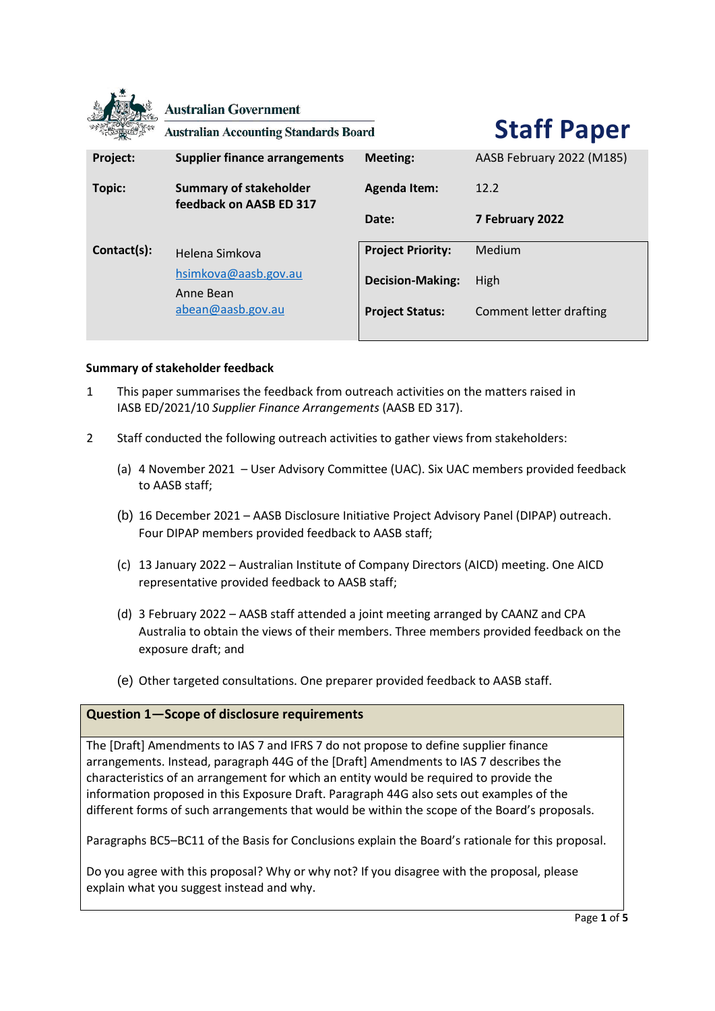|             | <b>Australian Government</b><br><b>Australian Accounting Standards Board</b> |                          | <b>Staff Paper</b>        |
|-------------|------------------------------------------------------------------------------|--------------------------|---------------------------|
| Project:    | <b>Supplier finance arrangements</b>                                         | <b>Meeting:</b>          | AASB February 2022 (M185) |
| Topic:      | <b>Summary of stakeholder</b><br>feedback on AASB ED 317                     | <b>Agenda Item:</b>      | 12.2                      |
|             |                                                                              | Date:                    | 7 February 2022           |
| Contact(s): | Helena Simkova                                                               | <b>Project Priority:</b> | Medium                    |
|             | hsimkova@aasb.gov.au<br>Anne Bean                                            | <b>Decision-Making:</b>  | High                      |
|             | abean@aasb.gov.au                                                            | <b>Project Status:</b>   | Comment letter drafting   |

## **Summary of stakeholder feedback**

- 1 This paper summarises the feedback from outreach activities on the matters raised in IASB ED/2021/10 *Supplier Finance Arrangements* (AASB ED 317).
- 2 Staff conducted the following outreach activities to gather views from stakeholders:
	- (a) 4 November 2021 User Advisory Committee (UAC). Six UAC members provided feedback to AASB staff;
	- (b) 16 December 2021 AASB Disclosure Initiative Project Advisory Panel (DIPAP) outreach. Four DIPAP members provided feedback to AASB staff;
	- (c) 13 January 2022 Australian Institute of Company Directors (AICD) meeting. One AICD representative provided feedback to AASB staff;
	- (d) 3 February 2022 AASB staff attended a joint meeting arranged by CAANZ and CPA Australia to obtain the views of their members. Three members provided feedback on the exposure draft; and
	- (e) Other targeted consultations. One preparer provided feedback to AASB staff.

# **Question 1—Scope of disclosure requirements**

The [Draft] Amendments to IAS 7 and IFRS 7 do not propose to define supplier finance arrangements. Instead, paragraph 44G of the [Draft] Amendments to IAS 7 describes the characteristics of an arrangement for which an entity would be required to provide the information proposed in this Exposure Draft. Paragraph 44G also sets out examples of the different forms of such arrangements that would be within the scope of the Board's proposals.

Paragraphs BC5–BC11 of the Basis for Conclusions explain the Board's rationale for this proposal.

Do you agree with this proposal? Why or why not? If you disagree with the proposal, please explain what you suggest instead and why.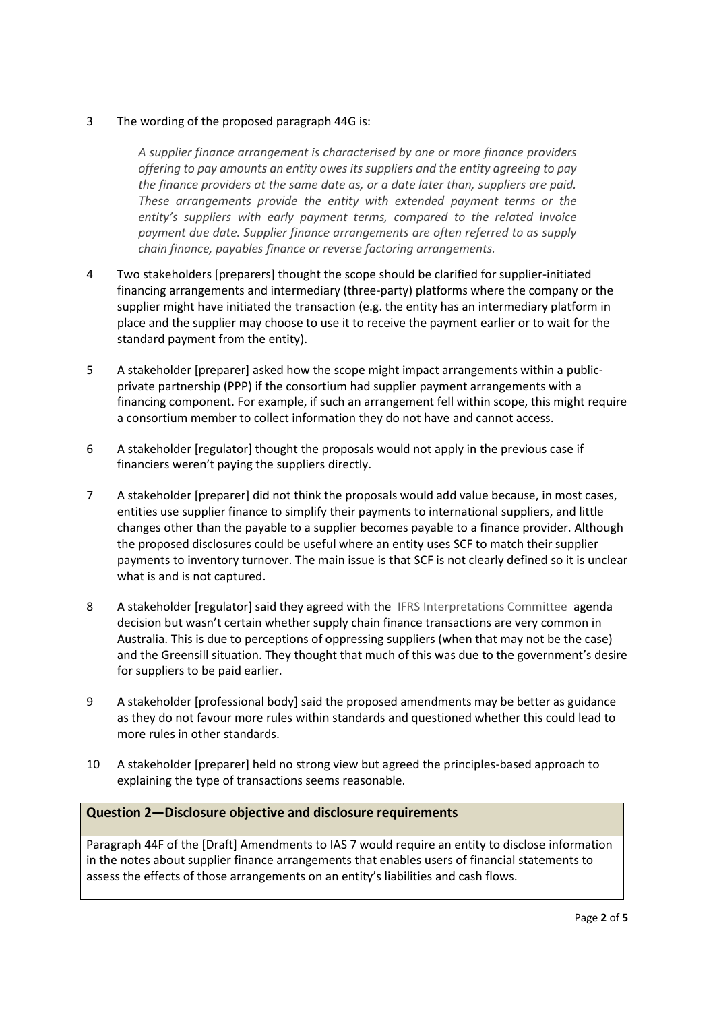## 3 The wording of the proposed paragraph 44G is:

*A supplier finance arrangement is characterised by one or more finance providers offering to pay amounts an entity owes its suppliers and the entity agreeing to pay the finance providers at the same date as, or a date later than, suppliers are paid. These arrangements provide the entity with extended payment terms or the entity's suppliers with early payment terms, compared to the related invoice payment due date. Supplier finance arrangements are often referred to as supply chain finance, payables finance or reverse factoring arrangements.*

- 4 Two stakeholders [preparers] thought the scope should be clarified for supplier-initiated financing arrangements and intermediary (three-party) platforms where the company or the supplier might have initiated the transaction (e.g. the entity has an intermediary platform in place and the supplier may choose to use it to receive the payment earlier or to wait for the standard payment from the entity).
- 5 A stakeholder [preparer] asked how the scope might impact arrangements within a publicprivate partnership (PPP) if the consortium had supplier payment arrangements with a financing component. For example, if such an arrangement fell within scope, this might require a consortium member to collect information they do not have and cannot access.
- 6 A stakeholder [regulator] thought the proposals would not apply in the previous case if financiers weren't paying the suppliers directly.
- 7 A stakeholder [preparer] did not think the proposals would add value because, in most cases, entities use supplier finance to simplify their payments to international suppliers, and little changes other than the payable to a supplier becomes payable to a finance provider. Although the proposed disclosures could be useful where an entity uses SCF to match their supplier payments to inventory turnover. The main issue is that SCF is not clearly defined so it is unclear what is and is not captured.
- 8 A stakeholder [regulator] said they agreed with the IFRS Interpretations Committee agenda decision but wasn't certain whether supply chain finance transactions are very common in Australia. This is due to perceptions of oppressing suppliers (when that may not be the case) and the Greensill situation. They thought that much of this was due to the government's desire for suppliers to be paid earlier.
- 9 A stakeholder [professional body] said the proposed amendments may be better as guidance as they do not favour more rules within standards and questioned whether this could lead to more rules in other standards.
- 10 A stakeholder [preparer] held no strong view but agreed the principles-based approach to explaining the type of transactions seems reasonable.

#### **Question 2—Disclosure objective and disclosure requirements**

Paragraph 44F of the [Draft] Amendments to IAS 7 would require an entity to disclose information in the notes about supplier finance arrangements that enables users of financial statements to assess the effects of those arrangements on an entity's liabilities and cash flows.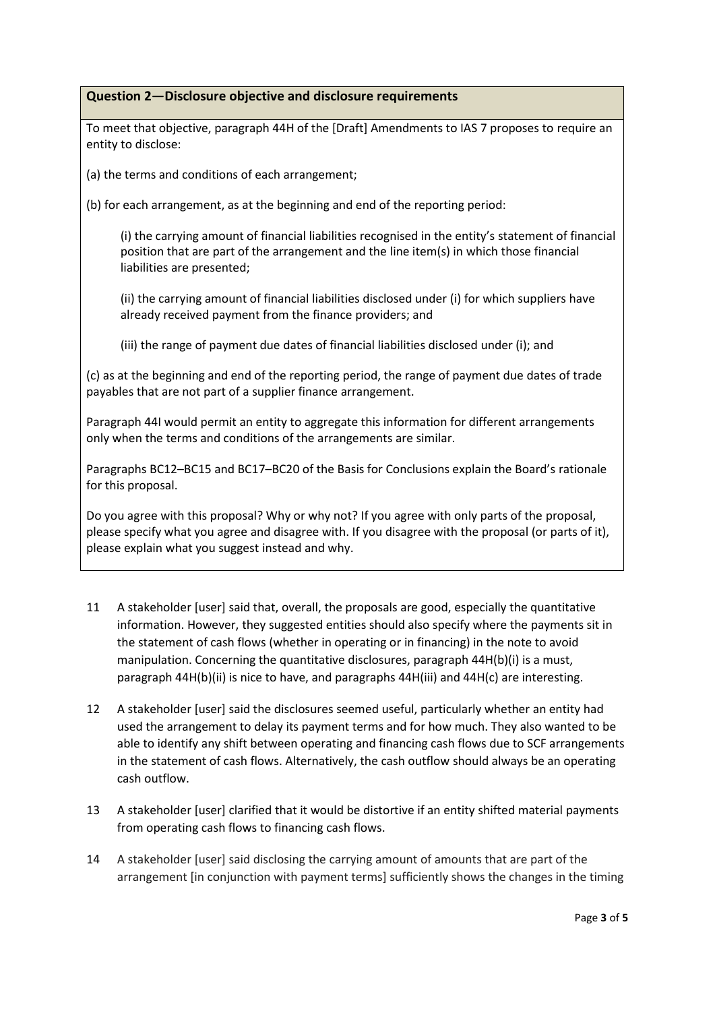# **Question 2—Disclosure objective and disclosure requirements**

To meet that objective, paragraph 44H of the [Draft] Amendments to IAS 7 proposes to require an entity to disclose:

(a) the terms and conditions of each arrangement;

(b) for each arrangement, as at the beginning and end of the reporting period:

(i) the carrying amount of financial liabilities recognised in the entity's statement of financial position that are part of the arrangement and the line item(s) in which those financial liabilities are presented;

(ii) the carrying amount of financial liabilities disclosed under (i) for which suppliers have already received payment from the finance providers; and

(iii) the range of payment due dates of financial liabilities disclosed under (i); and

(c) as at the beginning and end of the reporting period, the range of payment due dates of trade payables that are not part of a supplier finance arrangement.

Paragraph 44I would permit an entity to aggregate this information for different arrangements only when the terms and conditions of the arrangements are similar.

Paragraphs BC12–BC15 and BC17–BC20 of the Basis for Conclusions explain the Board's rationale for this proposal.

Do you agree with this proposal? Why or why not? If you agree with only parts of the proposal, please specify what you agree and disagree with. If you disagree with the proposal (or parts of it), please explain what you suggest instead and why.

- 11 A stakeholder [user] said that, overall, the proposals are good, especially the quantitative information. However, they suggested entities should also specify where the payments sit in the statement of cash flows (whether in operating or in financing) in the note to avoid manipulation. Concerning the quantitative disclosures, paragraph 44H(b)(i) is a must, paragraph 44H(b)(ii) is nice to have, and paragraphs 44H(iii) and 44H(c) are interesting.
- 12 A stakeholder [user] said the disclosures seemed useful, particularly whether an entity had used the arrangement to delay its payment terms and for how much. They also wanted to be able to identify any shift between operating and financing cash flows due to SCF arrangements in the statement of cash flows. Alternatively, the cash outflow should always be an operating cash outflow.
- 13 A stakeholder [user] clarified that it would be distortive if an entity shifted material payments from operating cash flows to financing cash flows.
- 14 A stakeholder [user] said disclosing the carrying amount of amounts that are part of the arrangement [in conjunction with payment terms] sufficiently shows the changes in the timing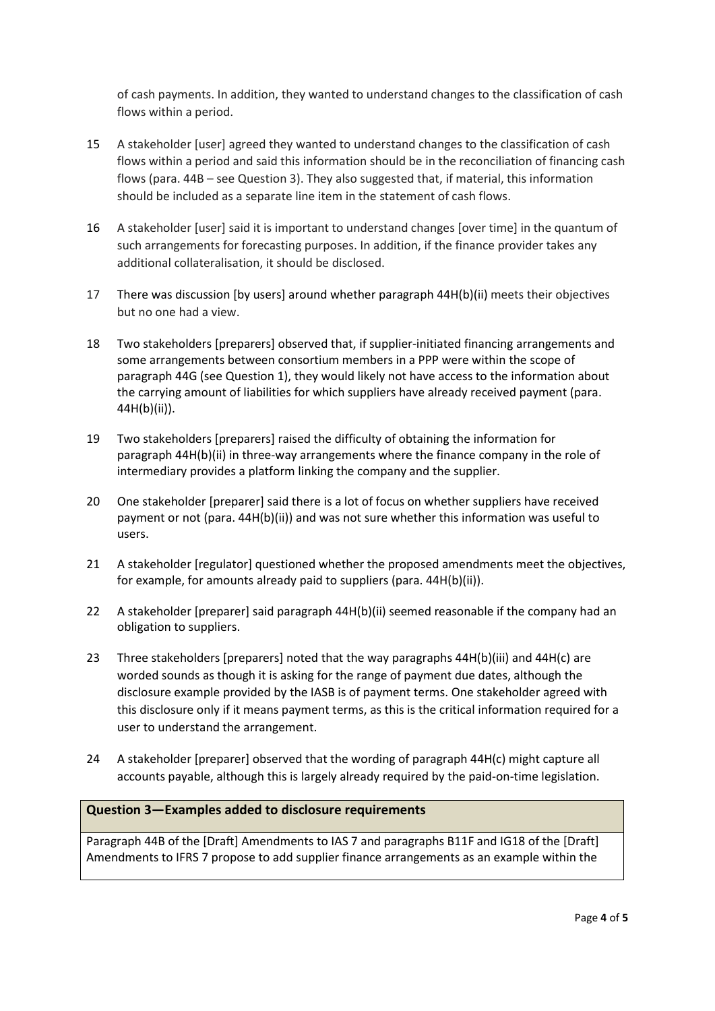of cash payments. In addition, they wanted to understand changes to the classification of cash flows within a period.

- 15 A stakeholder [user] agreed they wanted to understand changes to the classification of cash flows within a period and said this information should be in the reconciliation of financing cash flows (para. 44B – see Question 3). They also suggested that, if material, this information should be included as a separate line item in the statement of cash flows.
- 16 A stakeholder [user] said it is important to understand changes [over time] in the quantum of such arrangements for forecasting purposes. In addition, if the finance provider takes any additional collateralisation, it should be disclosed.
- 17 There was discussion [by users] around whether paragraph 44H(b)(ii) meets their objectives but no one had a view.
- 18 Two stakeholders [preparers] observed that, if supplier-initiated financing arrangements and some arrangements between consortium members in a PPP were within the scope of paragraph 44G (see Question 1), they would likely not have access to the information about the carrying amount of liabilities for which suppliers have already received payment (para. 44H(b)(ii)).
- 19 Two stakeholders [preparers] raised the difficulty of obtaining the information for paragraph 44H(b)(ii) in three-way arrangements where the finance company in the role of intermediary provides a platform linking the company and the supplier.
- 20 One stakeholder [preparer] said there is a lot of focus on whether suppliers have received payment or not (para. 44H(b)(ii)) and was not sure whether this information was useful to users.
- 21 A stakeholder [regulator] questioned whether the proposed amendments meet the objectives, for example, for amounts already paid to suppliers (para. 44H(b)(ii)).
- 22 A stakeholder [preparer] said paragraph 44H(b)(ii) seemed reasonable if the company had an obligation to suppliers.
- 23 Three stakeholders [preparers] noted that the way paragraphs 44H(b)(iii) and 44H(c) are worded sounds as though it is asking for the range of payment due dates, although the disclosure example provided by the IASB is of payment terms. One stakeholder agreed with this disclosure only if it means payment terms, as this is the critical information required for a user to understand the arrangement.
- 24 A stakeholder [preparer] observed that the wording of paragraph 44H(c) might capture all accounts payable, although this is largely already required by the paid-on-time legislation.

# **Question 3—Examples added to disclosure requirements**

Paragraph 44B of the [Draft] Amendments to IAS 7 and paragraphs B11F and IG18 of the [Draft] Amendments to IFRS 7 propose to add supplier finance arrangements as an example within the